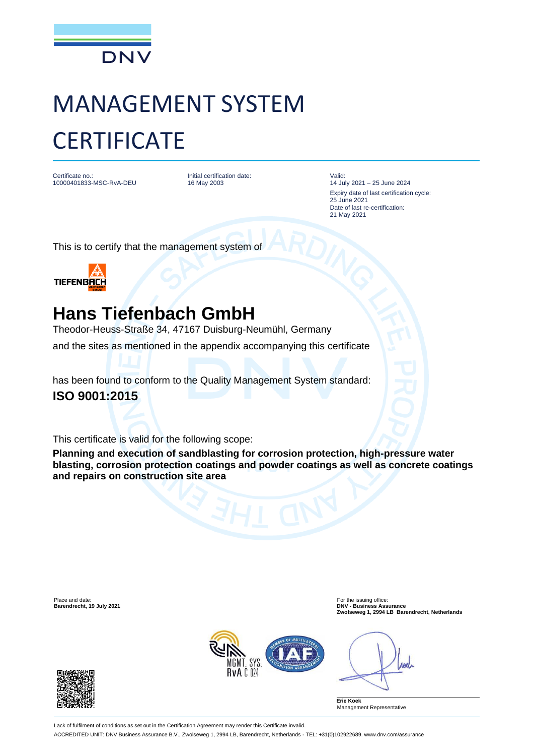

## MANAGEMENT SYSTEM **CERTIFICATE**

Certificate no.: 10000401833-MSC-RvA-DEU Initial certification date: 16 May 2003

Valid: 14 July 2021 – 25 June 2024 Expiry date of last certification cycle: 25 June 2021 Date of last re-certification: 21 May 2021

This is to certify that the management system of



## **Hans Tiefenbach GmbH**

Theodor-Heuss-Straße 34, 47167 Duisburg-Neumühl, Germany

and the sites as mentioned in the appendix accompanying this certificate

has been found to conform to the Quality Management System standard: **ISO 9001:2015**

This certificate is valid for the following scope:

**Planning and execution of sandblasting for corrosion protection, high-pressure water blasting, corrosion protection coatings and powder coatings as well as concrete coatings and repairs on construction site area**

Place and date: For the issuing office: **Barendrecht, 19 July 2021 DNV - Business Assurance Zwolseweg 1, 2994 LB Barendrecht, Netherlands**



rod

**Erie Koek** Management Representative



Lack of fulfilment of conditions as set out in the Certification Agreement may render this Certificate invalid. ACCREDITED UNIT: DNV Business Assurance B.V., Zwolseweg 1, 2994 LB, Barendrecht, Netherlands - TEL: +31(0)102922689. www.dnv.com/assurance